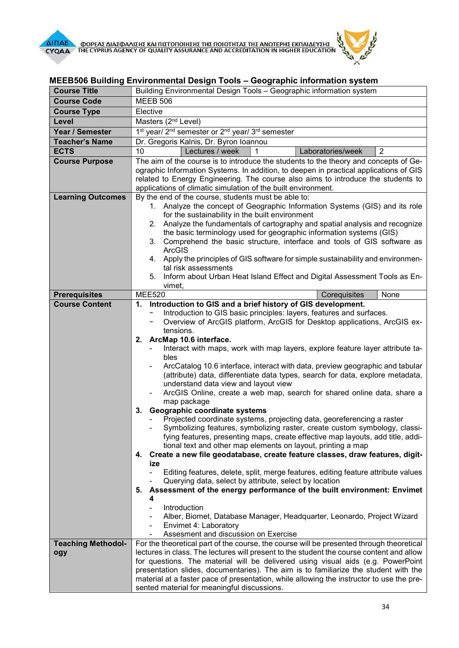

## MEEB506 Building Environmental Design Tools – Geographic information system

| <b>Course Title</b>                           | Building Environmental Design Tools - Geographic information system                                                                               |
|-----------------------------------------------|---------------------------------------------------------------------------------------------------------------------------------------------------|
| <b>Course Code</b>                            | <b>MEEB 506</b>                                                                                                                                   |
| <b>Course Type</b>                            | Elective                                                                                                                                          |
| Level                                         | Masters (2 <sup>nd</sup> Level)                                                                                                                   |
| Year / Semester                               | 1 <sup>st</sup> year/ 2 <sup>nd</sup> semester or 2 <sup>nd</sup> year/ 3 <sup>rd</sup> semester                                                  |
| <b>Teacher's Name</b>                         | Dr. Gregoris Kalnis, Dr. Byron Ioannou                                                                                                            |
| <b>ECTS</b>                                   | Laboratories/week<br>$\overline{2}$<br>10<br>Lectures / week                                                                                      |
| <b>Course Purpose</b>                         | The aim of the course is to introduce the students to the theory and concepts of Ge-                                                              |
|                                               | ographic Information Systems. In addition, to deepen in practical applications of GIS                                                             |
|                                               | related to Energy Engineering. The course also aims to introduce the students to<br>applications of climatic simulation of the built environment. |
| <b>Learning Outcomes</b>                      | By the end of the course, students must be able to:                                                                                               |
|                                               | 1. Analyze the concept of Geographic Information Systems (GIS) and its role                                                                       |
|                                               | for the sustainability in the built environment                                                                                                   |
|                                               | 2. Analyze the fundamentals of cartography and spatial analysis and recognize                                                                     |
|                                               | the basic terminology used for geographic information systems (GIS)                                                                               |
|                                               | 3. Comprehend the basic structure, interface and tools of GIS software as<br><b>ArcGIS</b>                                                        |
|                                               | 4. Apply the principles of GIS software for simple sustainability and environmen-                                                                 |
|                                               | tal risk assessments                                                                                                                              |
|                                               | 5. Inform about Urban Heat Island Effect and Digital Assessment Tools as En-                                                                      |
|                                               | vimet,                                                                                                                                            |
| <b>Prerequisites</b><br><b>Course Content</b> | <b>MEE520</b><br>None<br>Corequisites<br>1. Introduction to GIS and a brief history of GIS development.                                           |
|                                               | Introduction to GIS basic principles: layers, features and surfaces.                                                                              |
|                                               | Overview of ArcGIS platform, ArcGIS for Desktop applications, ArcGIS ex-<br>-                                                                     |
|                                               | tensions.                                                                                                                                         |
|                                               | 2. ArcMap 10.6 interface.                                                                                                                         |
|                                               | Interact with maps, work with map layers, explore feature layer attribute ta-                                                                     |
|                                               | bles<br>ArcCatalog 10.6 interface, interact with data, preview geographic and tabular                                                             |
|                                               | (attribute) data, differentiate data types, search for data, explore metadata,                                                                    |
|                                               | understand data view and layout view                                                                                                              |
|                                               | ArcGIS Online, create a web map, search for shared online data, share a                                                                           |
|                                               | map package                                                                                                                                       |
|                                               | Geographic coordinate systems<br>3.<br>Projected coordinate systems, projecting data, georeferencing a raster                                     |
|                                               | Symbolizing features, symbolizing raster, create custom symbology, classi-                                                                        |
|                                               | fying features, presenting maps, create effective map layouts, add title, addi-                                                                   |
|                                               | tional text and other map elements on layout, printing a map                                                                                      |
|                                               | Create a new file geodatabase, create feature classes, draw features, digit-<br>4.                                                                |
|                                               | ize<br>Editing features, delete, split, merge features, editing feature attribute values                                                          |
|                                               | Querying data, select by attribute, select by location                                                                                            |
|                                               | Assessment of the energy performance of the built environment: Envimet<br>5.                                                                      |
|                                               | 4                                                                                                                                                 |
|                                               | Introduction                                                                                                                                      |
|                                               | Alber, Biomet, Database Manager, Headquarter, Leonardo, Project Wizard                                                                            |
|                                               | Envimet 4: Laboratory<br>$\overline{\phantom{a}}$<br>Assesment and discussion on Exercise                                                         |
| <b>Teaching Methodol-</b>                     | For the theoretical part of the course, the course will be presented through theoretical                                                          |
| ogy                                           | lectures in class. The lectures will present to the student the course content and allow                                                          |
|                                               | for questions. The material will be delivered using visual aids (e.g. PowerPoint                                                                  |
|                                               | presentation slides, documentaries). The aim is to familiarize the student with the                                                               |
|                                               | material at a faster pace of presentation, while allowing the instructor to use the pre-                                                          |
|                                               | sented material for meaningful discussions.                                                                                                       |